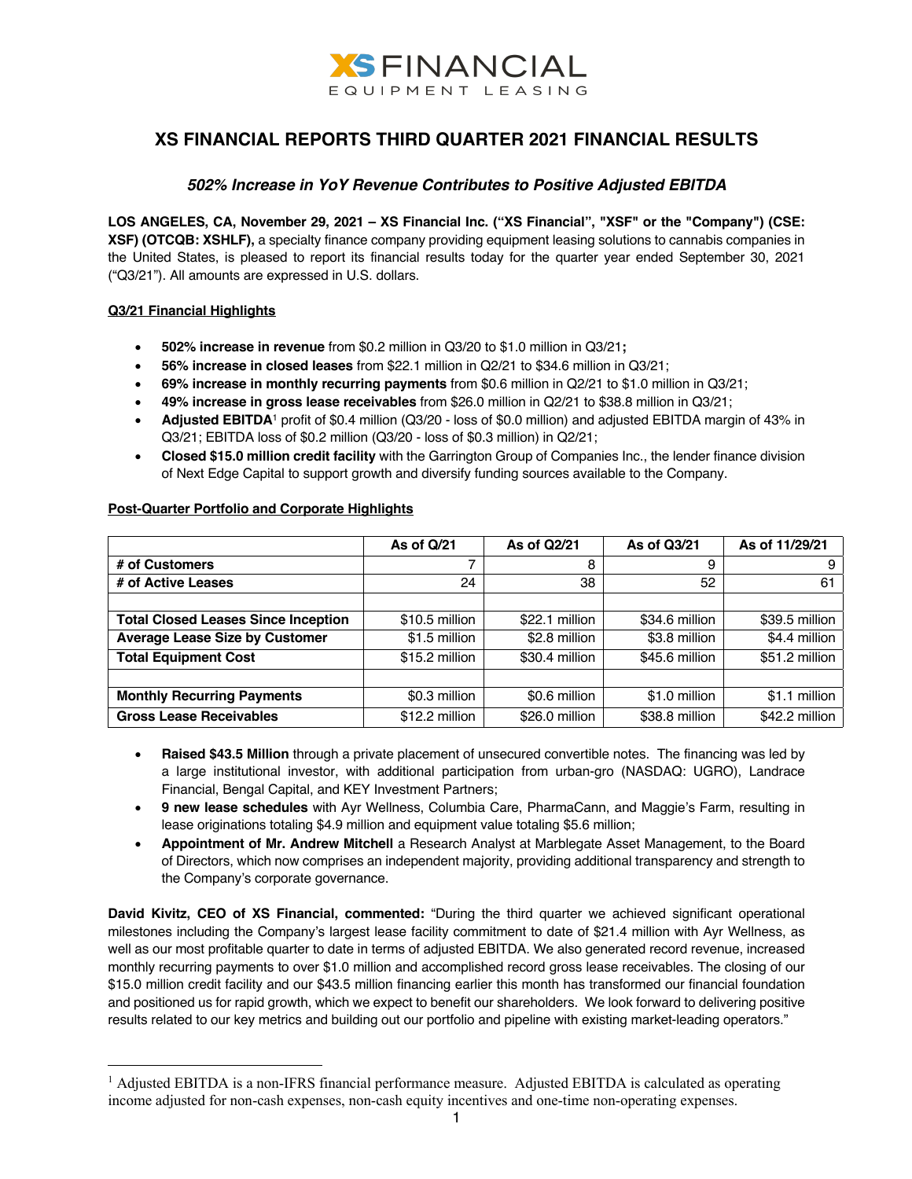

# **XS FINANCIAL REPORTS THIRD QUARTER 2021 FINANCIAL RESULTS**

## *502% Increase in YoY Revenue Contributes to Positive Adjusted EBITDA*

**LOS ANGELES, CA, November 29, 2021 – XS Financial Inc. ("XS Financial", "XSF" or the "Company") (CSE: XSF) (OTCQB: XSHLF),** a specialty finance company providing equipment leasing solutions to cannabis companies in the United States, is pleased to report its financial results today for the quarter year ended September 30, 2021 ("Q3/21"). All amounts are expressed in U.S. dollars.

## **Q3/21 Financial Highlights**

- **502% increase in revenue** from \$0.2 million in Q3/20 to \$1.0 million in Q3/21**;**
- **56% increase in closed leases** from \$22.1 million in Q2/21 to \$34.6 million in Q3/21;
- **69% increase in monthly recurring payments** from \$0.6 million in Q2/21 to \$1.0 million in Q3/21;
- **49% increase in gross lease receivables** from \$26.0 million in Q2/21 to \$38.8 million in Q3/21;
- **Adjusted EBITDA**<sup>1</sup> profit of \$0.4 million (Q3/20 loss of \$0.0 million) and adjusted EBITDA margin of 43% in Q3/21; EBITDA loss of \$0.2 million (Q3/20 - loss of \$0.3 million) in Q2/21;
- **Closed \$15.0 million credit facility** with the Garrington Group of Companies Inc., the lender finance division of Next Edge Capital to support growth and diversify funding sources available to the Company.

|                                            | As of Q/21     | As of Q2/21     | As of Q3/21    | As of 11/29/21 |
|--------------------------------------------|----------------|-----------------|----------------|----------------|
| # of Customers                             |                | 8               | 9              | 9              |
| # of Active Leases                         | 24             | 38              | 52             | 61             |
|                                            |                |                 |                |                |
| <b>Total Closed Leases Since Inception</b> | \$10.5 million | $$22.1$ million | \$34.6 million | \$39.5 million |
| <b>Average Lease Size by Customer</b>      | \$1.5 million  | \$2.8 million   | \$3.8 million  | \$4.4 million  |
| <b>Total Equipment Cost</b>                | \$15.2 million | \$30.4 million  | \$45.6 million | \$51.2 million |
|                                            |                |                 |                |                |
| <b>Monthly Recurring Payments</b>          | \$0.3 million  | \$0.6 million   | \$1.0 million  | \$1.1 million  |
| <b>Gross Lease Receivables</b>             | \$12.2 million | \$26.0 million  | \$38.8 million | \$42.2 million |

## **Post-Quarter Portfolio and Corporate Highlights**

- **Raised \$43.5 Million** through a private placement of unsecured convertible notes. The financing was led by a large institutional investor, with additional participation from urban-gro (NASDAQ: UGRO), Landrace Financial, Bengal Capital, and KEY Investment Partners;
- **9 new lease schedules** with Ayr Wellness, Columbia Care, PharmaCann, and Maggie's Farm, resulting in lease originations totaling \$4.9 million and equipment value totaling \$5.6 million;
- **Appointment of Mr. Andrew Mitchell** a Research Analyst at Marblegate Asset Management, to the Board of Directors, which now comprises an independent majority, providing additional transparency and strength to the Company's corporate governance.

**David Kivitz, CEO of XS Financial, commented:** "During the third quarter we achieved significant operational milestones including the Company's largest lease facility commitment to date of \$21.4 million with Ayr Wellness, as well as our most profitable quarter to date in terms of adjusted EBITDA. We also generated record revenue, increased monthly recurring payments to over \$1.0 million and accomplished record gross lease receivables. The closing of our \$15.0 million credit facility and our \$43.5 million financing earlier this month has transformed our financial foundation and positioned us for rapid growth, which we expect to benefit our shareholders. We look forward to delivering positive results related to our key metrics and building out our portfolio and pipeline with existing market-leading operators."

 $<sup>1</sup>$  Adjusted EBITDA is a non-IFRS financial performance measure. Adjusted EBITDA is calculated as operating</sup> income adjusted for non-cash expenses, non-cash equity incentives and one-time non-operating expenses.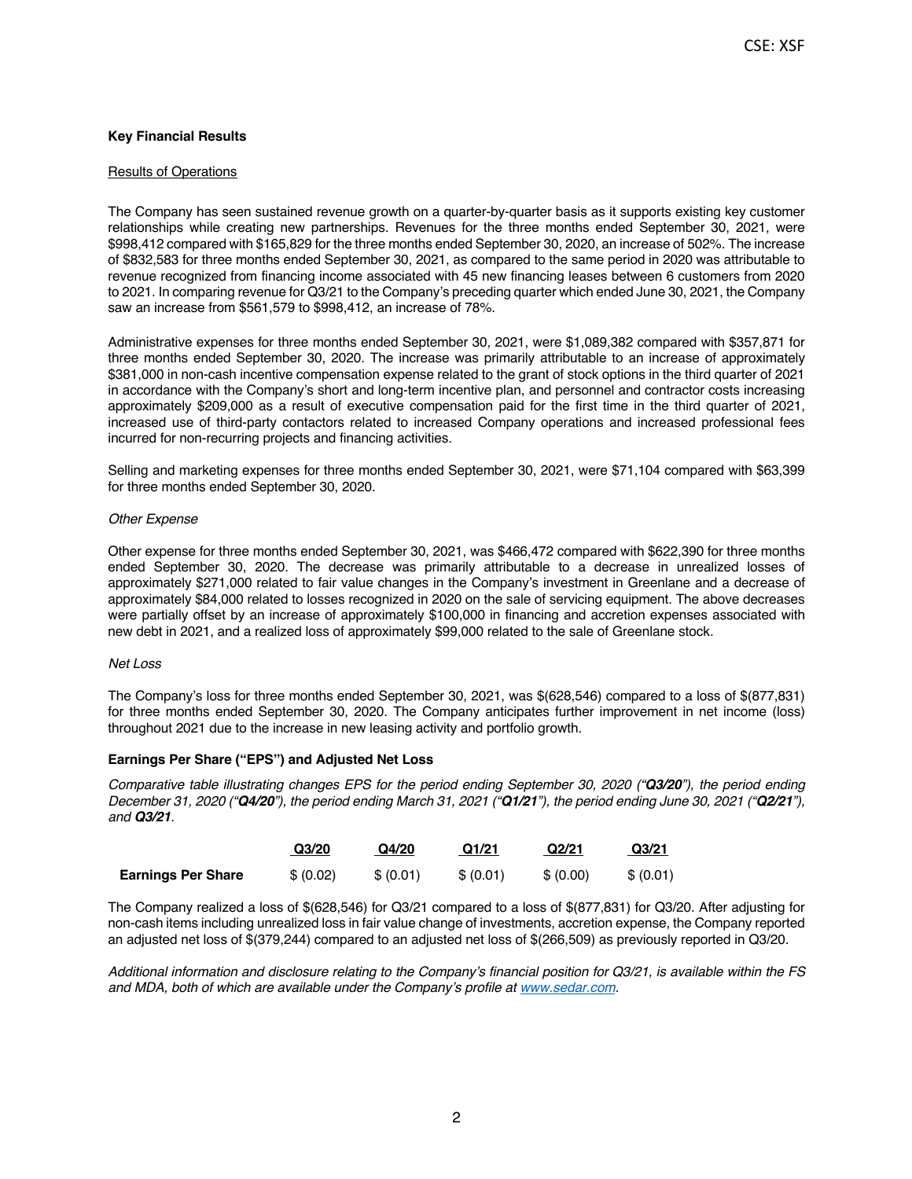## **Key Financial Results**

#### Results of Operations

The Company has seen sustained revenue growth on a quarter-by-quarter basis as it supports existing key customer relationships while creating new partnerships. Revenues for the three months ended September 30, 2021, were \$998,412 compared with \$165,829 for the three months ended September 30, 2020, an increase of 502%. The increase of \$832,583 for three months ended September 30, 2021, as compared to the same period in 2020 was attributable to revenue recognized from financing income associated with 45 new financing leases between 6 customers from 2020 to 2021. In comparing revenue for Q3/21 to the Company's preceding quarter which ended June 30, 2021, the Company saw an increase from \$561,579 to \$998,412, an increase of 78%.

Administrative expenses for three months ended September 30, 2021, were \$1,089,382 compared with \$357,871 for three months ended September 30, 2020. The increase was primarily attributable to an increase of approximately \$381,000 in non-cash incentive compensation expense related to the grant of stock options in the third quarter of 2021 in accordance with the Company's short and long-term incentive plan, and personnel and contractor costs increasing approximately \$209,000 as a result of executive compensation paid for the first time in the third quarter of 2021, increased use of third-party contactors related to increased Company operations and increased professional fees incurred for non-recurring projects and financing activities.

Selling and marketing expenses for three months ended September 30, 2021, were \$71,104 compared with \$63,399 for three months ended September 30, 2020.

#### *Other Expense*

Other expense for three months ended September 30, 2021, was \$466,472 compared with \$622,390 for three months ended September 30, 2020. The decrease was primarily attributable to a decrease in unrealized losses of approximately \$271,000 related to fair value changes in the Company's investment in Greenlane and a decrease of approximately \$84,000 related to losses recognized in 2020 on the sale of servicing equipment. The above decreases were partially offset by an increase of approximately \$100,000 in financing and accretion expenses associated with new debt in 2021, and a realized loss of approximately \$99,000 related to the sale of Greenlane stock.

#### *Net Loss*

The Company's loss for three months ended September 30, 2021, was \$(628,546) compared to a loss of \$(877,831) for three months ended September 30, 2020. The Company anticipates further improvement in net income (loss) throughout 2021 due to the increase in new leasing activity and portfolio growth.

## **Earnings Per Share ("EPS") and Adjusted Net Loss**

*Comparative table illustrating changes EPS for the period ending September 30, 2020 ("Q3/20"), the period ending December 31, 2020 ("Q4/20"), the period ending March 31, 2021 ("Q1/21"), the period ending June 30, 2021 ("Q2/21"), and Q3/21.*

|                           | Q <sub>3</sub> /20 | Q4/20     | Q1/21     | Q2/21     | Q <sub>3</sub> /21 |
|---------------------------|--------------------|-----------|-----------|-----------|--------------------|
| <b>Earnings Per Share</b> | \$ (0.02)          | \$ (0.01) | \$ (0.01) | \$ (0.00) | \$ (0.01)          |

The Company realized a loss of \$(628,546) for Q3/21 compared to a loss of \$(877,831) for Q3/20. After adjusting for non-cash items including unrealized loss in fair value change of investments, accretion expense, the Company reported an adjusted net loss of \$(379,244) compared to an adjusted net loss of \$(266,509) as previously reported in Q3/20.

*Additional information and disclosure relating to the Company's financial position for Q3/21, is available within the FS and MDA, both of which are available under the Company's profile at www.sedar.com.*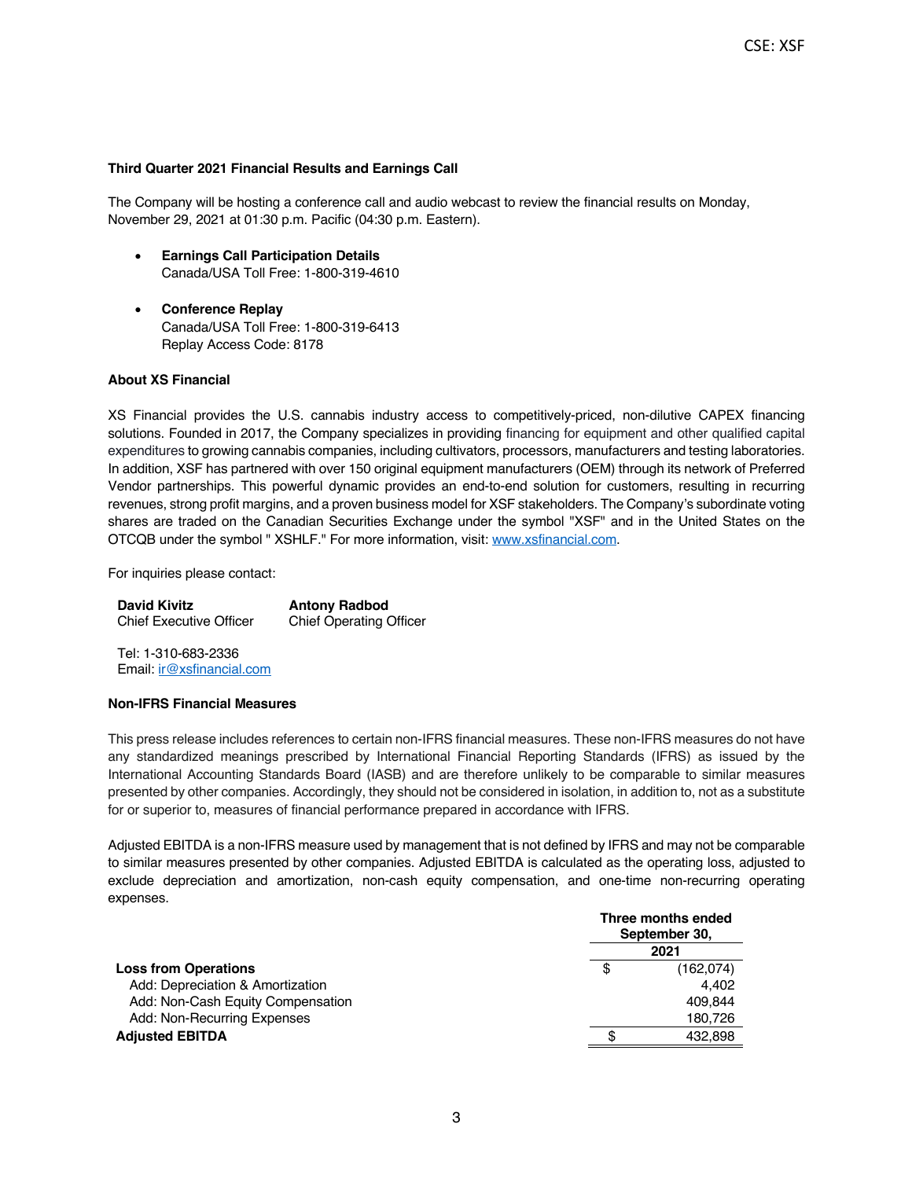## **Third Quarter 2021 Financial Results and Earnings Call**

The Company will be hosting a conference call and audio webcast to review the financial results on Monday, November 29, 2021 at 01:30 p.m. Pacific (04:30 p.m. Eastern).

- **Earnings Call Participation Details** Canada/USA Toll Free: 1-800-319-4610
- **Conference Replay** Canada/USA Toll Free: 1-800-319-6413 Replay Access Code: 8178

## **About XS Financial**

XS Financial provides the U.S. cannabis industry access to competitively-priced, non-dilutive CAPEX financing solutions. Founded in 2017, the Company specializes in providing financing for equipment and other qualified capital expenditures to growing cannabis companies, including cultivators, processors, manufacturers and testing laboratories. In addition, XSF has partnered with over 150 original equipment manufacturers (OEM) through its network of Preferred Vendor partnerships. This powerful dynamic provides an end-to-end solution for customers, resulting in recurring revenues, strong profit margins, and a proven business model for XSF stakeholders. The Company's subordinate voting shares are traded on the Canadian Securities Exchange under the symbol "XSF" and in the United States on the OTCQB under the symbol " XSHLF." For more information, visit: www.xsfinancial.com.

For inquiries please contact:

**David Kivitz** Chief Executive Officer **Antony Radbod** Chief Operating Officer

Tel: 1-310-683-2336 Email: ir@xsfinancial.com

## **Non-IFRS Financial Measures**

This press release includes references to certain non-IFRS financial measures. These non-IFRS measures do not have any standardized meanings prescribed by International Financial Reporting Standards (IFRS) as issued by the International Accounting Standards Board (IASB) and are therefore unlikely to be comparable to similar measures presented by other companies. Accordingly, they should not be considered in isolation, in addition to, not as a substitute for or superior to, measures of financial performance prepared in accordance with IFRS.

Adjusted EBITDA is a non-IFRS measure used by management that is not defined by IFRS and may not be comparable to similar measures presented by other companies. Adjusted EBITDA is calculated as the operating loss, adjusted to exclude depreciation and amortization, non-cash equity compensation, and one-time non-recurring operating expenses.

| Three months ended<br>September 30, |           |  |
|-------------------------------------|-----------|--|
| 2021                                |           |  |
| \$                                  | (162,074) |  |
|                                     | 4.402     |  |
|                                     | 409.844   |  |
|                                     | 180,726   |  |
|                                     | 432.898   |  |
|                                     |           |  |